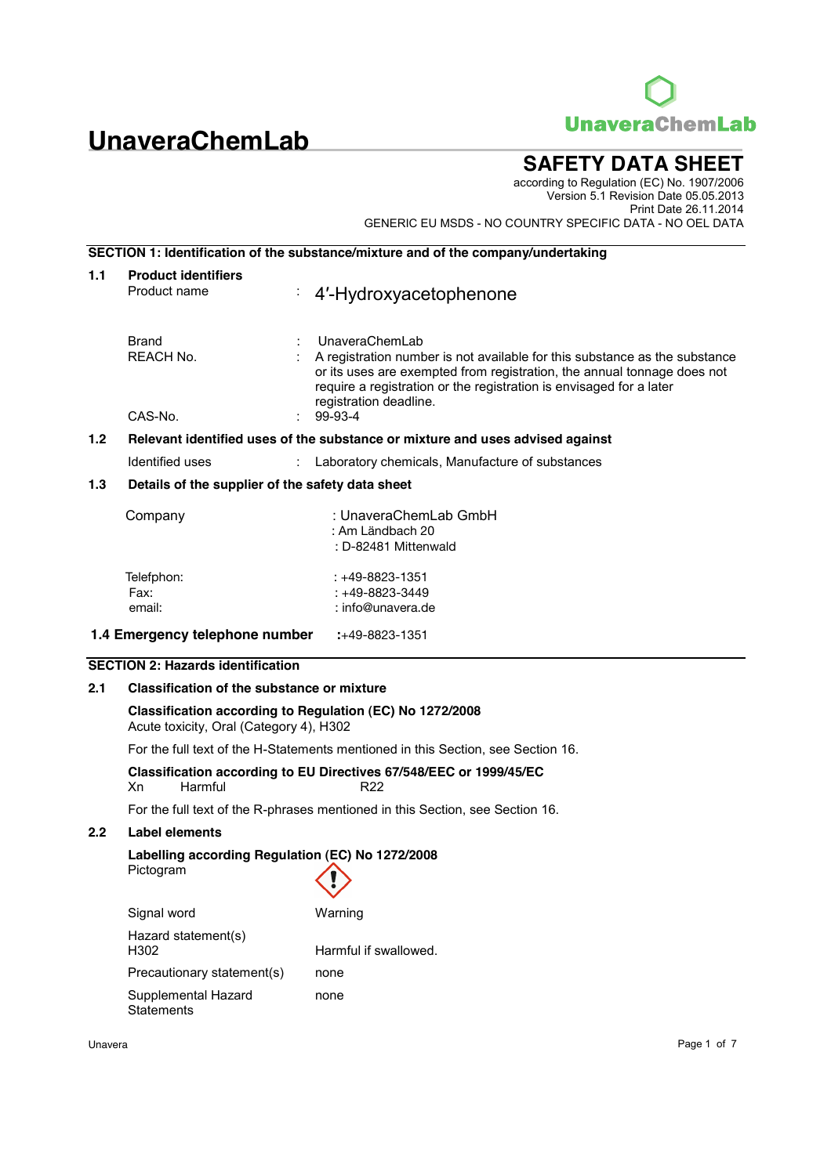# **UnaveraChemLab**

**SAFETY DATA SHEET**

according to Regulation (EC) No. 1907/2006 Version 5.1 Revision Date 05.05.2013 Print Date 26.11.2014 GENERIC EU MSDS - NO COUNTRY SPECIFIC DATA - NO OEL DATA

## **SECTION 1: Identification of the substance/mixture and of the company/undertaking**

## **1.1 Product identifiers**  $\cdot$  4'-Hydroxyacetophenone Brand REACH No. : A registration number is not available for this substance as the substance or its uses are exempted from registration, the annual tonnage does not require a registration or the registration is envisaged for a later registration deadline.<br>99-93-4  $CAS-No.$ **1.2 Relevant identified uses of the substance or mixture and uses advised against** Identified uses : Laboratory chemicals, Manufacture of substances **1.3 Details of the supplier of the safety data sheet** : UnaveraChemLab Company : UnaveraChemLab GmbH : Am Ländbach 20 : D-82481 Mittenwald Telefphon:  $+49-8823-1351$ Fax: : +49-8823-3449

**1.4 Emergency telephone number :**+49-8823-1351

email: : info@unavera.de

## **SECTION 2: Hazards identification**

## **2.1 Classification of the substance or mixture**

#### **Classification according to Regulation (EC) No 1272/2008** Acute toxicity, Oral (Category 4), H302

For the full text of the H-Statements mentioned in this Section, see Section 16.

#### **Classification according to EU Directives 67/548/EEC or 1999/45/EC** Xn Harmful R22

For the full text of the R-phrases mentioned in this Section, see Section 16.

## **2.2 Label elements**

**Labelling according Regulation (EC) No 1272/2008** Pictogram

| Signal word                              | Warning               |
|------------------------------------------|-----------------------|
| Hazard statement(s)<br>H302              | Harmful if swallowed. |
| Precautionary statement(s)               | none                  |
| Supplemental Hazard<br><b>Statements</b> | none                  |

Unavera

**UnaveraChemLab**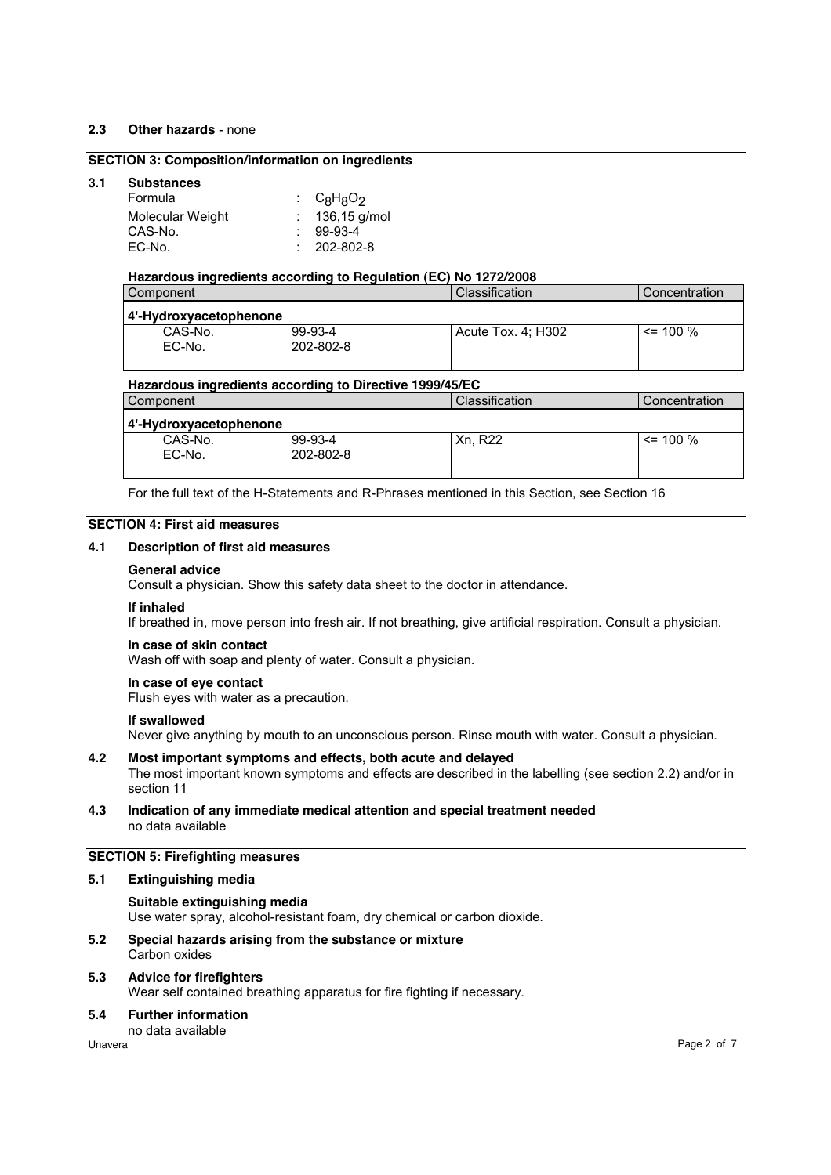## **2.3 Other hazards** - none

## **SECTION 3: Composition/information on ingredients**

#### **3.1 Substances**

| Formula          | : $C_8H_8O_2$     |  |
|------------------|-------------------|--|
| Molecular Weight | : $136,15$ g/mol  |  |
| CAS-No.          | $99-93-4$         |  |
| EC-No.           | $: 202 - 802 - 8$ |  |

#### **Hazardous ingredients according to Regulation (EC) No 1272/2008**

| Component              |           | <b>Classification</b> | Concentration |
|------------------------|-----------|-----------------------|---------------|
| 4'-Hydroxyacetophenone |           |                       |               |
| CAS-No.                | 99-93-4   | Acute Tox. 4; H302    | $\leq$ 100 %  |
| EC-No.                 | 202-802-8 |                       |               |

#### **Hazardous ingredients according to Directive 1999/45/EC**

| Component              |                      | Classification | Concentration |
|------------------------|----------------------|----------------|---------------|
| 4'-Hydroxyacetophenone |                      |                |               |
| CAS-No.<br>EC-No.      | 99-93-4<br>202-802-8 | Xn. R22        | $\leq$ 100 %  |
|                        |                      |                |               |

For the full text of the H-Statements and R-Phrases mentioned in this Section, see Section 16

## **SECTION 4: First aid measures**

## **4.1 Description of first aid measures**

#### **General advice**

Consult a physician. Show this safety data sheet to the doctor in attendance.

#### **If inhaled**

If breathed in, move person into fresh air. If not breathing, give artificial respiration. Consult a physician.

#### **In case of skin contact**

**In case of eye contact**

Wash off with soap and plenty of water. Consult a physician.

## Flush eyes with water as a precaution.

#### **If swallowed**

Never give anything by mouth to an unconscious person. Rinse mouth with water. Consult a physician.

## **4.2 Most important symptoms and effects, both acute and delayed**

The most important known symptoms and effects are described in the labelling (see section 2.2) and/or in section 11

### **4.3 Indication of any immediate medical attention and special treatment needed** no data available

## **SECTION 5: Firefighting measures**

## **5.1 Extinguishing media**

#### **Suitable extinguishing media**

Use water spray, alcohol-resistant foam, dry chemical or carbon dioxide.

**5.2 Special hazards arising from the substance or mixture** Carbon oxides

#### **5.3 Advice for firefighters** Wear self contained breathing apparatus for fire fighting if necessary.

#### **5.4 Further information**

no data available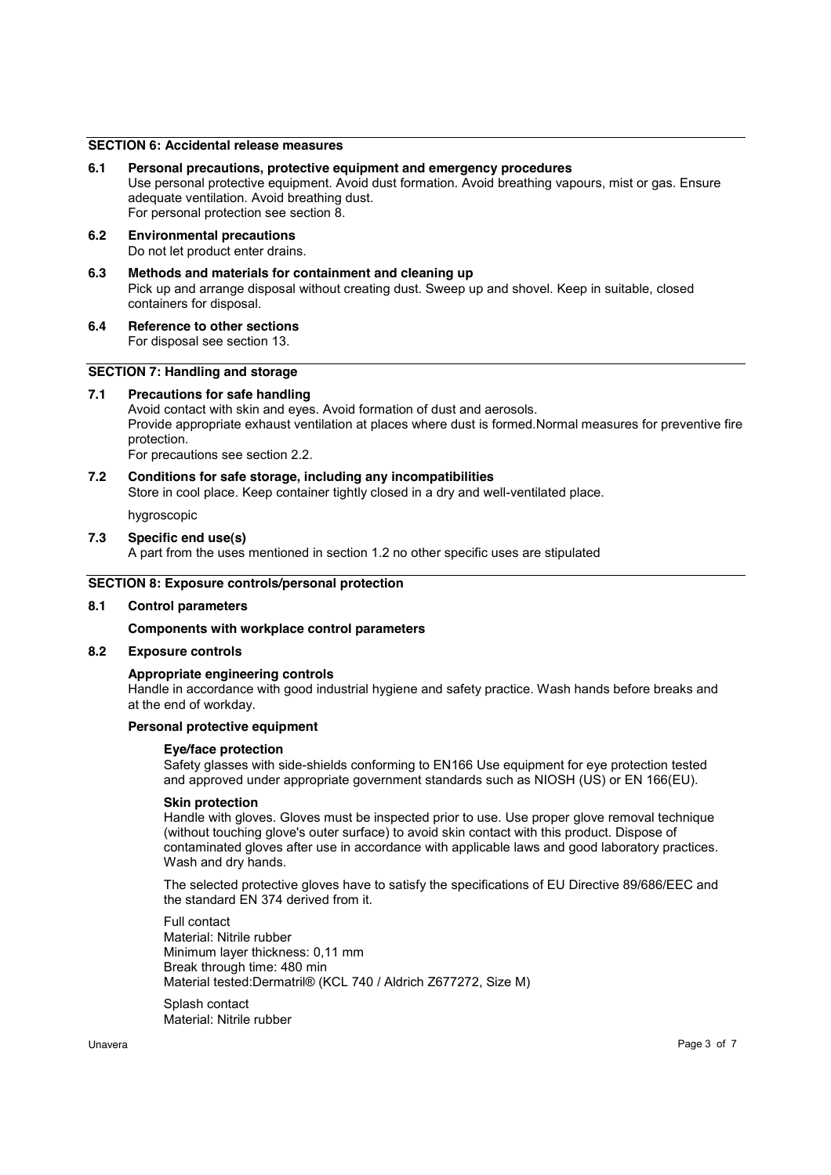## **SECTION 6: Accidental release measures**

#### **6.1 Personal precautions, protective equipment and emergency procedures**

Use personal protective equipment. Avoid dust formation. Avoid breathing vapours, mist or gas. Ensure adequate ventilation. Avoid breathing dust. For personal protection see section 8.

- **6.2 Environmental precautions** Do not let product enter drains.
- **6.3 Methods and materials for containment and cleaning up** Pick up and arrange disposal without creating dust. Sweep up and shovel. Keep in suitable, closed containers for disposal.
- **6.4 Reference to other sections**

For disposal see section 13.

## **SECTION 7: Handling and storage**

## **7.1 Precautions for safe handling**

Avoid contact with skin and eyes. Avoid formation of dust and aerosols. Provide appropriate exhaust ventilation at places where dust is formed.Normal measures for preventive fire protection. For precautions see section 2.2.

## **7.2 Conditions for safe storage, including any incompatibilities**

Store in cool place. Keep container tightly closed in a dry and well-ventilated place.

hygroscopic

#### **7.3 Specific end use(s)**

A part from the uses mentioned in section 1.2 no other specific uses are stipulated

#### **SECTION 8: Exposure controls/personal protection**

## **8.1 Control parameters**

**Components with workplace control parameters**

## **8.2 Exposure controls**

#### **Appropriate engineering controls**

Handle in accordance with good industrial hygiene and safety practice. Wash hands before breaks and at the end of workday.

## **Personal protective equipment**

#### **Eye/face protection**

Safety glasses with side-shields conforming to EN166 Use equipment for eye protection tested and approved under appropriate government standards such as NIOSH (US) or EN 166(EU).

## **Skin protection**

Handle with gloves. Gloves must be inspected prior to use. Use proper glove removal technique (without touching glove's outer surface) to avoid skin contact with this product. Dispose of contaminated gloves after use in accordance with applicable laws and good laboratory practices. Wash and dry hands.

The selected protective gloves have to satisfy the specifications of EU Directive 89/686/EEC and the standard EN 374 derived from it.

Full contact Material: Nitrile rubber Minimum layer thickness: 0,11 mm Break through time: 480 min Material tested:Dermatril® (KCL 740 / Aldrich Z677272, Size M) Splash contact

Material: Nitrile rubber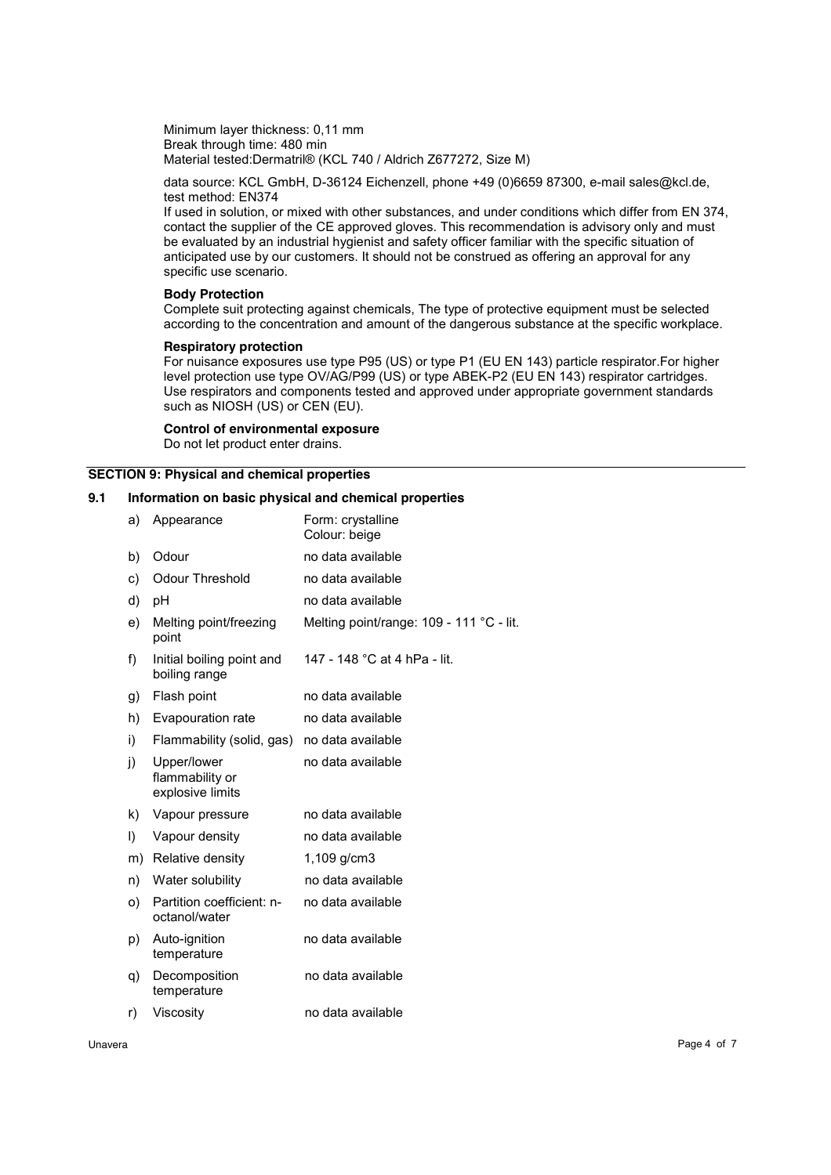Minimum layer thickness: 0,11 mm Break through time: 480 min Material tested:Dermatril® (KCL 740 / Aldrich Z677272, Size M)

data source: KCL GmbH, D-36124 Eichenzell, phone +49 (0)6659 87300, e-mail sales@kcl.de, test method: EN374

If used in solution, or mixed with other substances, and under conditions which differ from EN 374, contact the supplier of the CE approved gloves. This recommendation is advisory only and must be evaluated by an industrial hygienist and safety officer familiar with the specific situation of anticipated use by our customers. It should not be construed as offering an approval for any specific use scenario.

## **Body Protection**

Complete suit protecting against chemicals, The type of protective equipment must be selected according to the concentration and amount of the dangerous substance at the specific workplace.

## **Respiratory protection**

For nuisance exposures use type P95 (US) or type P1 (EU EN 143) particle respirator.For higher level protection use type OV/AG/P99 (US) or type ABEK-P2 (EU EN 143) respirator cartridges. Use respirators and components tested and approved under appropriate government standards such as NIOSH (US) or CEN (EU).

#### **Control of environmental exposure**

Do not let product enter drains.

## **SECTION 9: Physical and chemical properties**

## **9.1 Information on basic physical and chemical properties**

| a) | Appearance                                         | Form: crystalline<br>Colour: beige       |
|----|----------------------------------------------------|------------------------------------------|
| b) | Odour                                              | no data available                        |
| c) | <b>Odour Threshold</b>                             | no data available                        |
| d) | рH                                                 | no data available                        |
| e) | Melting point/freezing<br>point                    | Melting point/range: 109 - 111 °C - lit. |
| f) | Initial boiling point and<br>boiling range         | 147 - 148 °C at 4 hPa - lit.             |
| g) | Flash point                                        | no data available                        |
| h) | Evapouration rate                                  | no data available                        |
| i) | Flammability (solid, gas)                          | no data available                        |
| j) | Upper/lower<br>flammability or<br>explosive limits | no data available                        |
| k) | Vapour pressure                                    | no data available                        |
| I) | Vapour density                                     | no data available                        |
| m) | Relative density                                   | $1,109$ g/cm3                            |
| n) | Water solubility                                   | no data available                        |
| O) | Partition coefficient: n-<br>octanol/water         | no data available                        |
| p) | Auto-ignition<br>temperature                       | no data available                        |
| q) | Decomposition<br>temperature                       | no data available                        |
| r) | Viscosity                                          | no data available                        |
|    |                                                    |                                          |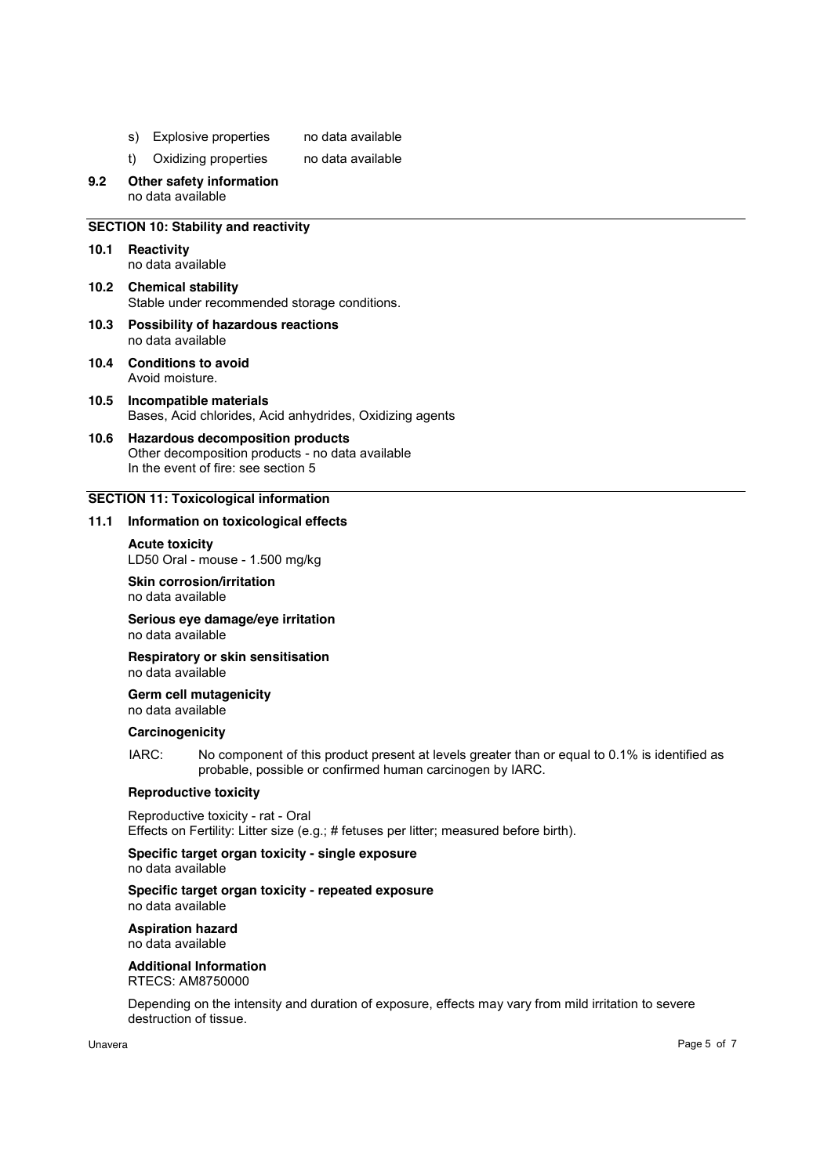- s) Explosive properties no data available
- t) Oxidizing properties no data available
- **9.2 Other safety information** no data available

## **SECTION 10: Stability and reactivity**

#### **10.1 Reactivity** no data available

- **10.2 Chemical stability** Stable under recommended storage conditions.
- **10.3 Possibility of hazardous reactions** no data available
- **10.4 Conditions to avoid** Avoid moisture.
- **10.5 Incompatible materials** Bases, Acid chlorides, Acid anhydrides, Oxidizing agents
- **10.6 Hazardous decomposition products** Other decomposition products - no data available In the event of fire: see section 5

## **SECTION 11: Toxicological information**

## **11.1 Information on toxicological effects**

**Acute toxicity** LD50 Oral - mouse - 1.500 mg/kg

**Skin corrosion/irritation** no data available

**Serious eye damage/eye irritation** no data available

**Respiratory or skin sensitisation** no data available

**Germ cell mutagenicity** no data available

#### **Carcinogenicity**

IARC: No component of this product present at levels greater than or equal to 0.1% is identified as probable, possible or confirmed human carcinogen by IARC.

## **Reproductive toxicity**

Reproductive toxicity - rat - Oral Effects on Fertility: Litter size (e.g.; # fetuses per litter; measured before birth).

#### **Specific target organ toxicity - single exposure** no data available

#### **Specific target organ toxicity - repeated exposure** no data available

**Aspiration hazard** no data available

**Additional Information** RTECS: AM8750000

Depending on the intensity and duration of exposure, effects may vary from mild irritation to severe destruction of tissue.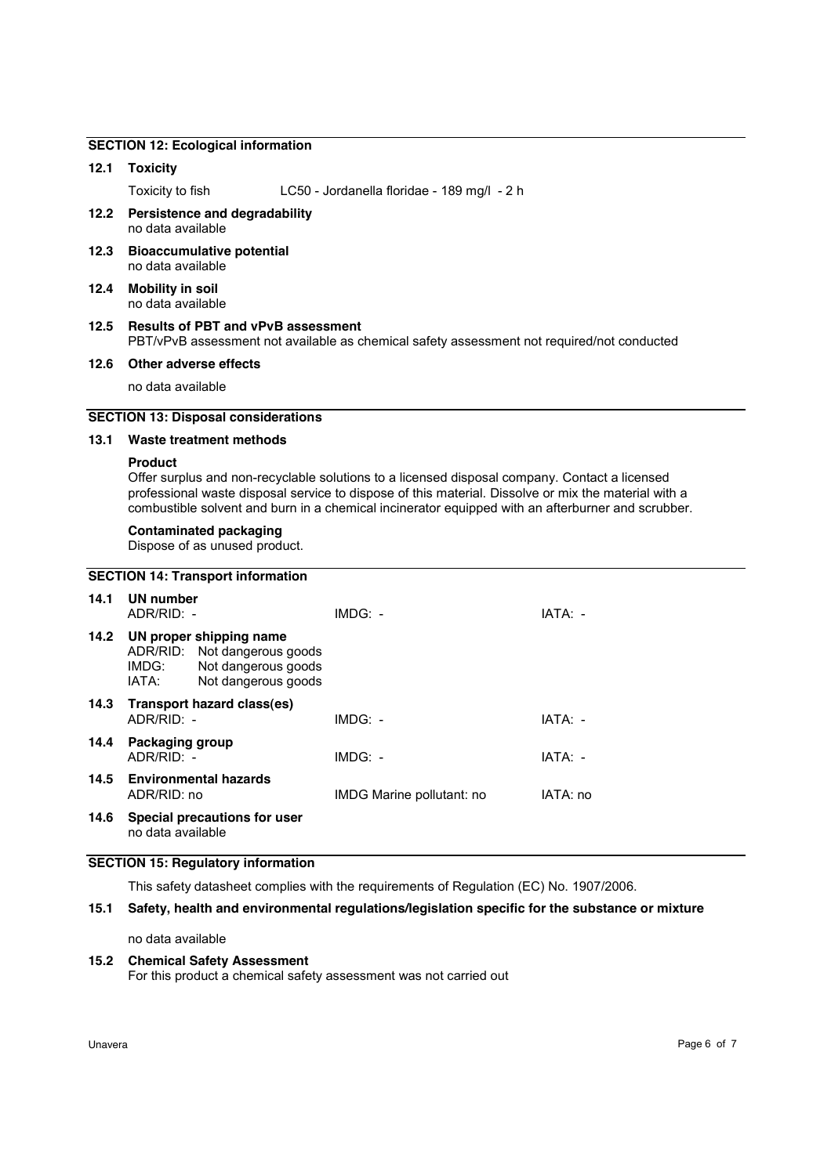## **SECTION 12: Ecological information**

## **12.1 Toxicity**

Toxicity to fish LC50 - Jordanella floridae - 189 mg/l - 2 h

- **12.2 Persistence and degradability** no data available
- **12.3 Bioaccumulative potential** no data available
- **12.4 Mobility in soil** no data available
- **12.5 Results of PBT and vPvB assessment** PBT/vPvB assessment not available as chemical safety assessment not required/not conducted

## **12.6 Other adverse effects**

no data available

## **SECTION 13: Disposal considerations**

## **13.1 Waste treatment methods**

#### **Product**

Offer surplus and non-recyclable solutions to a licensed disposal company. Contact a licensed professional waste disposal service to dispose of this material. Dissolve or mix the material with a combustible solvent and burn in a chemical incinerator equipped with an afterburner and scrubber.

## **Contaminated packaging**

Dispose of as unused product.

|  |  |  | <b>SECTION 14: Transport information</b> |
|--|--|--|------------------------------------------|
|--|--|--|------------------------------------------|

| 14.1 | UN number<br>ADR/RID: -         |                                                                                                       | IMDG: -                   | IATA: -  |
|------|---------------------------------|-------------------------------------------------------------------------------------------------------|---------------------------|----------|
| 14.2 | IMDG:<br>IATA:                  | UN proper shipping name<br>ADR/RID: Not dangerous goods<br>Not dangerous goods<br>Not dangerous goods |                           |          |
| 14.3 | ADR/RID: -                      | Transport hazard class(es)                                                                            | $IMDG: -$                 | IATA: -  |
| 14.4 | Packaging group<br>$ADR/RID: -$ |                                                                                                       | $IMDG: -$                 | IATA: -  |
| 14.5 | ADR/RID: no                     | <b>Environmental hazards</b>                                                                          | IMDG Marine pollutant: no | IATA: no |
| 14.6 | no data available               | Special precautions for user                                                                          |                           |          |

## **SECTION 15: Regulatory information**

This safety datasheet complies with the requirements of Regulation (EC) No. 1907/2006.

## **15.1 Safety, health and environmental regulations/legislation specific for the substance or mixture**

no data available

#### **15.2 Chemical Safety Assessment**

For this product a chemical safety assessment was not carried out